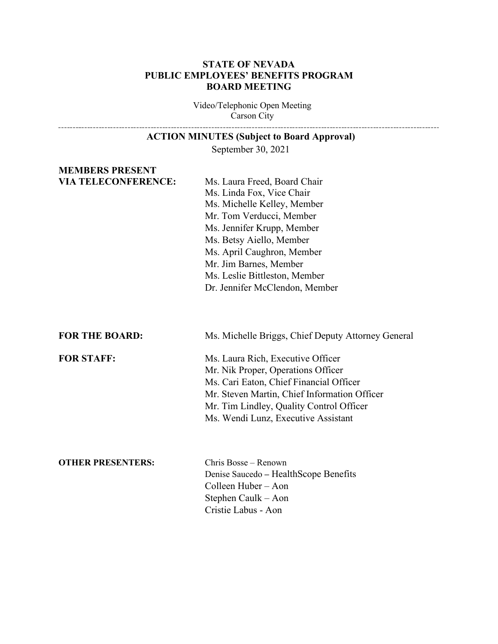#### **STATE OF NEVADA PUBLIC EMPLOYEES' BENEFITS PROGRAM BOARD MEETING**

Video/Telephonic Open Meeting Carson City

# **ACTION MINUTES (Subject to Board Approval)**

September 30, 2021

# **MEMBERS PRESENT**

**VIA TELECONFERENCE:** Ms. Laura Freed, Board Chair Ms. Linda Fox, Vice Chair Ms. Michelle Kelley, Member Mr. Tom Verducci, Member Ms. Jennifer Krupp, Member Ms. Betsy Aiello, Member Ms. April Caughron, Member Mr. Jim Barnes, Member Ms. Leslie Bittleston, Member Dr. Jennifer McClendon, Member

**FOR THE BOARD:** Ms. Michelle Briggs, Chief Deputy Attorney General

----------------------------

**FOR STAFF:** Ms. Laura Rich, Executive Officer Mr. Nik Proper, Operations Officer Ms. Cari Eaton, Chief Financial Officer Mr. Steven Martin, Chief Information Officer Mr. Tim Lindley, Quality Control Officer Ms. Wendi Lunz, Executive Assistant

#### **OTHER PRESENTERS:** Chris Bosse – Renown

Denise Saucedo **–** HealthScope Benefits Colleen Huber – Aon Stephen Caulk – Aon Cristie Labus - Aon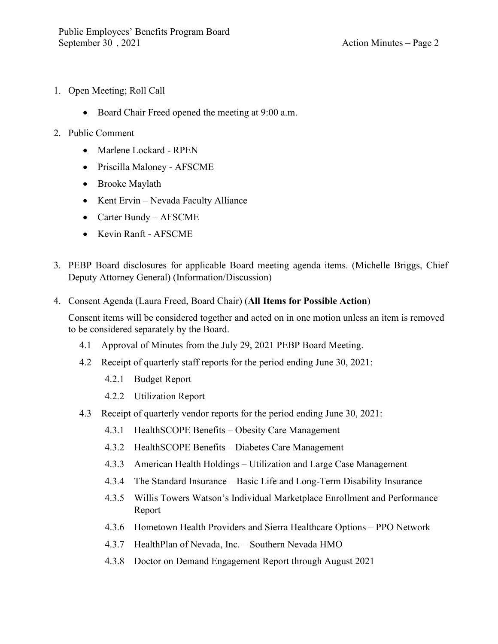- 1. Open Meeting; Roll Call
	- Board Chair Freed opened the meeting at 9:00 a.m.
- 2. Public Comment
	- Marlene Lockard RPEN
	- Priscilla Maloney AFSCME
	- Brooke Maylath
	- Kent Ervin Nevada Faculty Alliance
	- Carter Bundy AFSCME
	- Kevin Ranft AFSCME
- 3. PEBP Board disclosures for applicable Board meeting agenda items. (Michelle Briggs, Chief Deputy Attorney General) (Information/Discussion)
- 4. Consent Agenda (Laura Freed, Board Chair) (**All Items for Possible Action**)

Consent items will be considered together and acted on in one motion unless an item is removed to be considered separately by the Board.

- 4.1 Approval of Minutes from the July 29, 2021 PEBP Board Meeting.
- 4.2 Receipt of quarterly staff reports for the period ending June 30, 2021:
	- 4.2.1 Budget Report
	- 4.2.2 Utilization Report
- 4.3 Receipt of quarterly vendor reports for the period ending June 30, 2021:
	- 4.3.1 HealthSCOPE Benefits Obesity Care Management
	- 4.3.2 HealthSCOPE Benefits Diabetes Care Management
	- 4.3.3 American Health Holdings Utilization and Large Case Management
	- 4.3.4 The Standard Insurance Basic Life and Long-Term Disability Insurance
	- 4.3.5 Willis Towers Watson's Individual Marketplace Enrollment and Performance Report
	- 4.3.6 Hometown Health Providers and Sierra Healthcare Options PPO Network
	- 4.3.7 HealthPlan of Nevada, Inc. Southern Nevada HMO
	- 4.3.8 Doctor on Demand Engagement Report through August 2021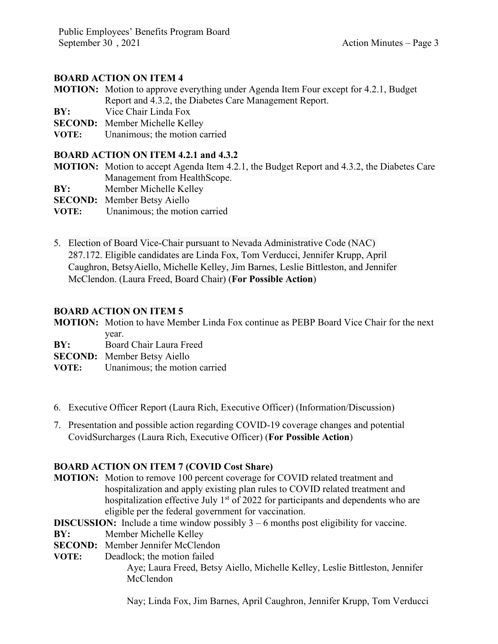# **BOARD ACTION ON ITEM 4**

- **MOTION:** Motion to approve everything under Agenda Item Four except for 4.2.1, Budget Report and 4.3.2, the Diabetes Care Management Report.
- **BY:** Vice Chair Linda Fox
- **SECOND:** Member Michelle Kelley
- **VOTE:** Unanimous; the motion carried

### **BOARD ACTION ON ITEM 4.2.1 and 4.3.2**

- **MOTION:** Motion to accept Agenda Item 4.2.1, the Budget Report and 4.3.2, the Diabetes Care Management from HealthScope.
- **BY:** Member Michelle Kelley
- **SECOND:** Member Betsy Aiello
- **VOTE:** Unanimous; the motion carried
- 5. Election of Board Vice-Chair pursuant to Nevada Administrative Code (NAC) 287.172. Eligible candidates are Linda Fox, Tom Verducci, Jennifer Krupp, April Caughron, BetsyAiello, Michelle Kelley, Jim Barnes, Leslie Bittleston, and Jennifer McClendon. (Laura Freed, Board Chair) (**For Possible Action**)

#### **BOARD ACTION ON ITEM 5**

**MOTION:** Motion to have Member Linda Fox continue as PEBP Board Vice Chair for the next year.

**BY:** Board Chair Laura Freed

**SECOND:** Member Betsy Aiello

- **VOTE:** Unanimous; the motion carried
- 6. Executive Officer Report (Laura Rich, Executive Officer) (Information/Discussion)
- 7. Presentation and possible action regarding COVID-19 coverage changes and potential CovidSurcharges (Laura Rich, Executive Officer) (**For Possible Action**)

# **BOARD ACTION ON ITEM 7 (COVID Cost Share)**

- **MOTION:** Motion to remove 100 percent coverage for COVID related treatment and hospitalization and apply existing plan rules to COVID related treatment and hospitalization effective July  $1<sup>st</sup>$  of 2022 for participants and dependents who are eligible per the federal government for vaccination.
- **DISCUSSION:** Include a time window possibly 3 6 months post eligibility for vaccine.
- **BY:** Member Michelle Kelley
- **SECOND:** Member Jennifer McClendon
- **VOTE:** Deadlock; the motion failed Aye; Laura Freed, Betsy Aiello, Michelle Kelley, Leslie Bittleston, Jennifer McClendon

Nay; Linda Fox, Jim Barnes, April Caughron, Jennifer Krupp, Tom Verducci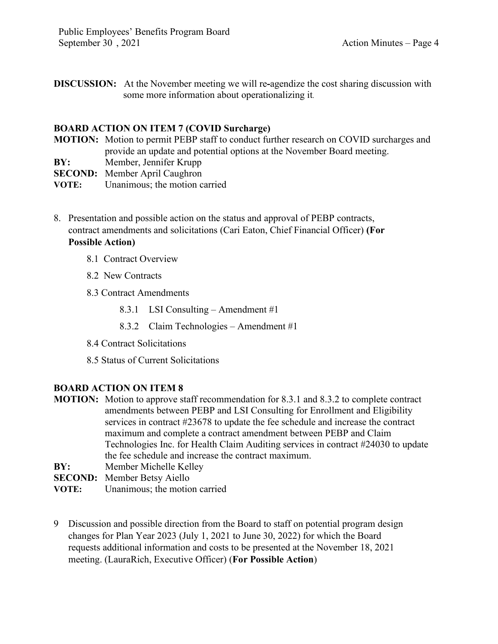**DISCUSSION:** At the November meeting we will re**-**agendize the cost sharing discussion with some more information about operationalizing it.

#### **BOARD ACTION ON ITEM 7 (COVID Surcharge)**

- **MOTION:** Motion to permit PEBP staff to conduct further research on COVID surcharges and provide an update and potential options at the November Board meeting.
- **BY:** Member, Jennifer Krupp
- **SECOND:** Member April Caughron
- **VOTE:** Unanimous; the motion carried
- 8. Presentation and possible action on the status and approval of PEBP contracts, contract amendments and solicitations (Cari Eaton, Chief Financial Officer) **(For Possible Action)**
	- 8.1 Contract Overview
	- 8.2 New Contracts
	- 8.3 Contract Amendments
		- 8.3.1 LSI Consulting Amendment #1
		- 8.3.2 Claim Technologies Amendment #1
	- 8.4 Contract Solicitations
	- 8.5 Status of Current Solicitations

# **BOARD ACTION ON ITEM 8**

- **MOTION:** Motion to approve staff recommendation for 8.3.1 and 8.3.2 to complete contract amendments between PEBP and LSI Consulting for Enrollment and Eligibility services in contract #23678 to update the fee schedule and increase the contract maximum and complete a contract amendment between PEBP and Claim Technologies Inc. for Health Claim Auditing services in contract #24030 to update the fee schedule and increase the contract maximum.
- **BY:** Member Michelle Kelley
- **SECOND:** Member Betsy Aiello
- **VOTE:** Unanimous; the motion carried
- 9 Discussion and possible direction from the Board to staff on potential program design changes for Plan Year 2023 (July 1, 2021 to June 30, 2022) for which the Board requests additional information and costs to be presented at the November 18, 2021 meeting. (LauraRich, Executive Officer) (**For Possible Action**)